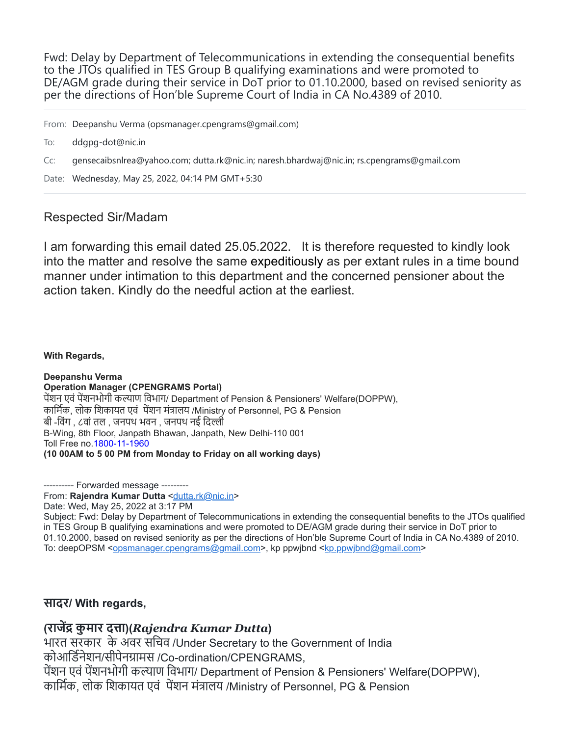Fwd: Delay by Department of Telecommunications in extending the consequential benefits to the JTOs qualified in TES Group B qualifying examinations and were promoted to DE/AGM grade during their service in DoT prior to 01.10.2000, based on revised seniority as per the directions of Hon'ble Supreme Court of India in CA No.4389 of 2010.

From: Deepanshu Verma (opsmanager.cpengrams@gmail.com)

- To: ddgpg-dot@nic.in
- Cc: gensecaibsnlrea@yahoo.com; dutta.rk@nic.in; naresh.bhardwaj@nic.in; rs.cpengrams@gmail.com

Date: Wednesday, May 25, 2022, 04:14 PM GMT+5:30

## Respected Sir/Madam

I am forwarding this email dated 25.05.2022. It is therefore requested to kindly look into the matter and resolve the same expeditiously as per extant rules in a time bound manner under intimation to this department and the concerned pensioner about the action taken. Kindly do the needful action at the earliest.

## **With Regards,**

**Deepanshu Verma Operation Manager (CPENGRAMS Portal)** पेंशन एवं पेंशनभोगी कल्याण विभाग/ Department of Pension & Pensioners' Welfare(DOPPW), कार्मिक, लोक शिकायत एवं पेंशन मंत्रालय /Ministry of Personnel, PG & Pension बी -विंग , ८वां तल , जनपथ भवन , जनपथ नई दिल्ली B-Wing, 8th Floor, Janpath Bhawan, Janpath, New Delhi-110 001 Toll Free no.1800-11-1960 **(10 00AM to 5 00 PM from Monday to Friday on all working days)**

---------- Forwarded message --------- From: Rajendra Kumar Dutta [<dutta.rk@nic.in>](mailto:dutta.rk@nic.in) Date: Wed, May 25, 2022 at 3:17 PM Subject: Fwd: Delay by Department of Telecommunications in extending the consequential benefits to the JTOs qualified in TES Group B qualifying examinations and were promoted to DE/AGM grade during their service in DoT prior to 01.10.2000, based on revised seniority as per the directions of Hon'ble Supreme Court of India in CA No.4389 of 2010. To: deepOPSM [<opsmanager.cpengrams@gmail.com](mailto:opsmanager.cpengrams@gmail.com)>, kp ppwjbnd [<kp.ppwjbnd@gmail.com>](mailto:kp.ppwjbnd@gmail.com)

## **सादर/ With regards,**

## **(राजेंद्र कुमार दत्ता)(***Rajendra Kumar Dutta***)**

भारत सरकार के अवर सचिव /Under Secretary to the Government of India

कोआर्डिनेशन/सीपेनग्रामस /Co-ordination/CPENGRAMS,

पेंशन एवं पेंशनभोगी कल्याण विभाग/ Department of Pension & Pensioners' Welfare(DOPPW), कार्मिक, लोक शिकायत एवं पेंशन मंत्रालय /Ministry of Personnel, PG & Pension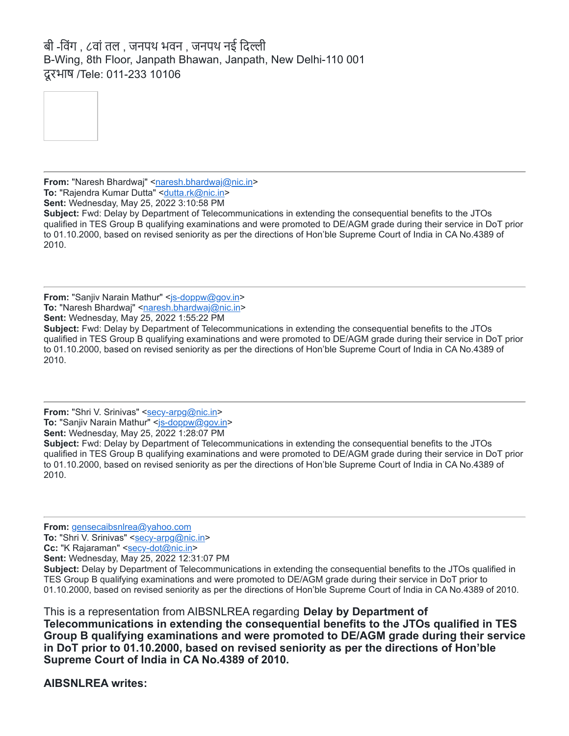बी -विंग , ८वां तल , जनपथ भवन , जनपथ नई दिल्ली B-Wing, 8th Floor, Janpath Bhawan, Janpath, New Delhi-110 001 दूरभाष /Tele: 011-233 10106



**From:** "Naresh Bhardwaj" <[naresh.bhardwaj@nic.in](mailto:naresh.bhardwaj@nic.in)> **To: "Rajendra Kumar Dutta" <[dutta.rk@nic.in>](mailto:dutta.rk@nic.in)** 

**Sent:** Wednesday, May 25, 2022 3:10:58 PM

**Subject:** Fwd: Delay by Department of Telecommunications in extending the consequential benefits to the JTOs qualified in TES Group B qualifying examinations and were promoted to DE/AGM grade during their service in DoT prior to 01.10.2000, based on revised seniority as per the directions of Hon'ble Supreme Court of India in CA No.4389 of 2010.

**From:** "Sanjiv Narain Mathur" <[js-doppw@gov.in>](mailto:js-doppw@gov.in) **To: "Naresh Bhardwaj" [<naresh.bhardwaj@nic.in>](mailto:naresh.bhardwaj@nic.in) Sent:** Wednesday, May 25, 2022 1:55:22 PM

**Subject:** Fwd: Delay by Department of Telecommunications in extending the consequential benefits to the JTOs qualified in TES Group B qualifying examinations and were promoted to DE/AGM grade during their service in DoT prior to 01.10.2000, based on revised seniority as per the directions of Hon'ble Supreme Court of India in CA No.4389 of 2010.

**From:** "Shri V. Srinivas" <[secy-arpg@nic.in>](mailto:secy-arpg@nic.in) **To: "Sanjiv Narain Mathur" <[js-doppw@gov.in>](mailto:js-doppw@gov.in) Sent:** Wednesday, May 25, 2022 1:28:07 PM

**Subject:** Fwd: Delay by Department of Telecommunications in extending the consequential benefits to the JTOs qualified in TES Group B qualifying examinations and were promoted to DE/AGM grade during their service in DoT prior to 01.10.2000, based on revised seniority as per the directions of Hon'ble Supreme Court of India in CA No.4389 of 2010.

**From:** [gensecaibsnlrea@yahoo.com](mailto:gensecaibsnlrea@yahoo.com)

**To:** "Shri V. Srinivas" [<secy-arpg@nic.in>](mailto:secy-arpg@nic.in)

**Cc:** "K Rajaraman" <[secy-dot@nic.in>](mailto:secy-dot@nic.in)

**Sent:** Wednesday, May 25, 2022 12:31:07 PM

**Subject:** Delay by Department of Telecommunications in extending the consequential benefits to the JTOs qualified in TES Group B qualifying examinations and were promoted to DE/AGM grade during their service in DoT prior to 01.10.2000, based on revised seniority as per the directions of Hon'ble Supreme Court of India in CA No.4389 of 2010.

This is a representation from AIBSNLREA regarding **Delay by Department of Telecommunications in extending the consequential benefits to the JTOs qualified in TES Group B qualifying examinations and were promoted to DE/AGM grade during their service in DoT prior to 01.10.2000, based on revised seniority as per the directions of Hon'ble Supreme Court of India in CA No.4389 of 2010.**

**AIBSNLREA writes:**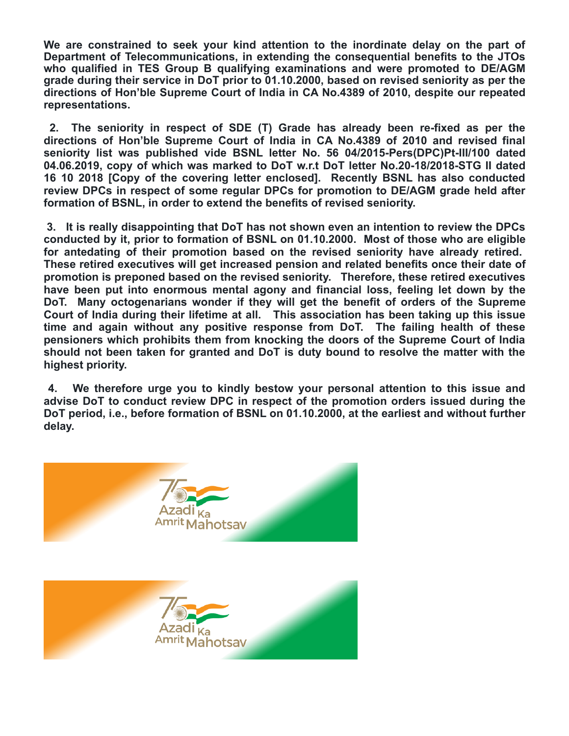**We are constrained to seek your kind attention to the inordinate delay on the part of Department of Telecommunications, in extending the consequential benefits to the JTOs who qualified in TES Group B qualifying examinations and were promoted to DE/AGM grade during their service in DoT prior to 01.10.2000, based on revised seniority as per the directions of Hon'ble Supreme Court of India in CA No.4389 of 2010, despite our repeated representations.**

**2. The seniority in respect of SDE (T) Grade has already been re-fixed as per the directions of Hon'ble Supreme Court of India in CA No.4389 of 2010 and revised final seniority list was published vide BSNL letter No. 56 04/2015-Pers(DPC)Pt-III/100 dated 04.06.2019, copy of which was marked to DoT w.r.t DoT letter No.20-18/2018-STG II dated 16 10 2018 [Copy of the covering letter enclosed]. Recently BSNL has also conducted review DPCs in respect of some regular DPCs for promotion to DE/AGM grade held after formation of BSNL, in order to extend the benefits of revised seniority.**

**3. It is really disappointing that DoT has not shown even an intention to review the DPCs conducted by it, prior to formation of BSNL on 01.10.2000. Most of those who are eligible for antedating of their promotion based on the revised seniority have already retired. These retired executives will get increased pension and related benefits once their date of promotion is preponed based on the revised seniority. Therefore, these retired executives have been put into enormous mental agony and financial loss, feeling let down by the DoT. Many octogenarians wonder if they will get the benefit of orders of the Supreme Court of India during their lifetime at all. This association has been taking up this issue time and again without any positive response from DoT. The failing health of these pensioners which prohibits them from knocking the doors of the Supreme Court of India should not been taken for granted and DoT is duty bound to resolve the matter with the highest priority.**

**4. We therefore urge you to kindly bestow your personal attention to this issue and advise DoT to conduct review DPC in respect of the promotion orders issued during the DoT period, i.e., before formation of BSNL on 01.10.2000, at the earliest and without further delay.**